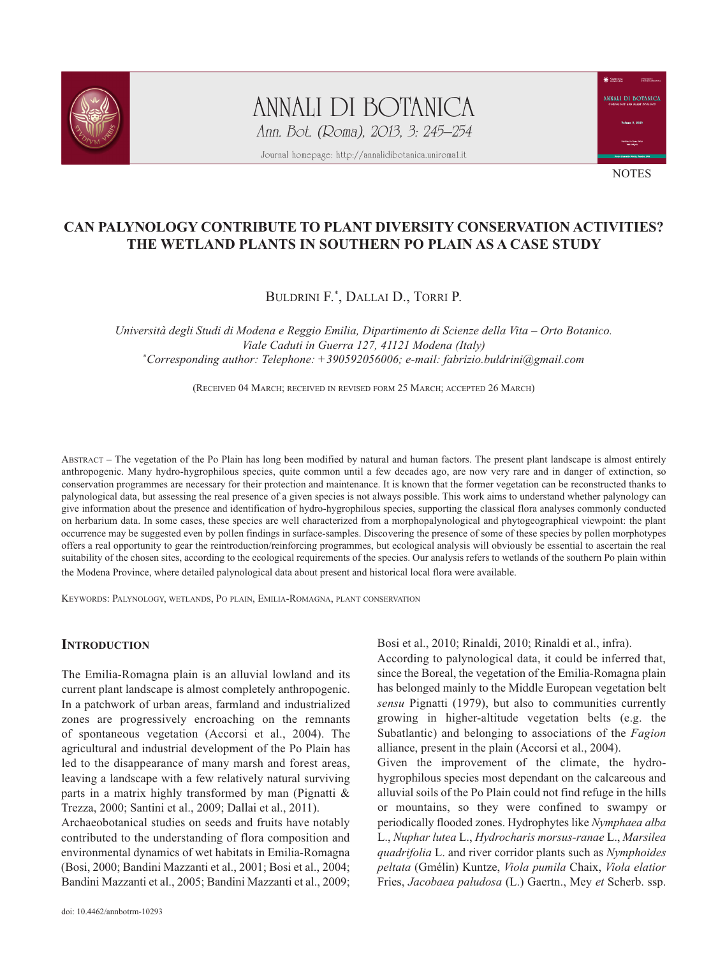

ANNALI DI BOTANICA Ann. Bot. (Roma), 2013, 3: 245–254

Journal homepage: http://annalidibotanica.uniroma1.it



**NOTES** 

# **CAN PALYNOLOGY CONTRIBUTE TO PLANT DIVERSITY CONSERVATION ACTIVITIES? THE WETLAND PLANTS IN SOUTHERN PO PLAIN AS A CASE STUDY**

BULDRINI F.\*, DALLAI D., TORRI P.

*Università degli Studi di Modena e Reggio Emilia, Dipartimento di Scienze della Vita – Orto Botanico. Viale Caduti in Guerra 127, 41121 Modena (Italy) \* Corresponding author: Telephone: +390592056006; e-mail: fabrizio.buldrini@gmail.com*

(RECEIVED 04 MARCH; RECEIVED IN REVISED FORM 25 MARCH; ACCEPTED 26 MARCH)

aBstract – the vegetation of the Po Plain has long been modified by natural and human factors. the present plant landscape is almost entirely anthropogenic. Many hydro-hygrophilous species, quite common until a few decades ago, are now very rare and in danger of extinction, so conservation programmes are necessary for their protection and maintenance. it is known that the former vegetation can be reconstructed thanks to palynological data, but assessing the real presence of a given species is not always possible. this work aims to understand whether palynology can give information about the presence and identification of hydro-hygrophilous species, supporting the classical flora analyses commonly conducted on herbarium data. in some cases, these species are well characterized from a morphopalynological and phytogeographical viewpoint: the plant occurrence may be suggested even by pollen findings in surface-samples. discovering the presence of some of these species by pollen morphotypes offers a real opportunity to gear the reintroduction/reinforcing programmes, but ecological analysis will obviously be essential to ascertain the real suitability of the chosen sites, according to the ecological requirements of the species. Our analysis refers to wetlands of the southern Po plain within the Modena Province, where detailed palynological data about present and historical local flora were available.

KEYWORDS: PALYNOLOGY, WETLANDS, PO PLAIN, EMILIA-ROMAGNA, PLANT CONSERVATION

## **INTRODUCTION**

The Emilia-Romagna plain is an alluvial lowland and its current plant landscape is almost completely anthropogenic. In a patchwork of urban areas, farmland and industrialized zones are progressively encroaching on the remnants of spontaneous vegetation (Accorsi et al., 2004). The agricultural and industrial development of the Po Plain has led to the disappearance of many marsh and forest areas, leaving a landscape with a few relatively natural surviving parts in a matrix highly transformed by man (Pignatti & Trezza, 2000; Santini et al., 2009; Dallai et al., 2011).

Archaeobotanical studies on seeds and fruits have notably contributed to the understanding of flora composition and environmental dynamics of wet habitats in Emilia-Romagna (Bosi, 2000; Bandini Mazzanti et al., 2001; Bosi et al., 2004; Bandini Mazzanti et al., 2005; Bandini Mazzanti et al., 2009; Bosi et al., 2010; Rinaldi, 2010; Rinaldi et al., infra).

according to palynological data, it could be inferred that, since the Boreal, the vegetation of the Emilia-Romagna plain has belonged mainly to the Middle European vegetation belt *sensu* Pignatti (1979), but also to communities currently growing in higher-altitude vegetation belts (e.g. the subatlantic) and belonging to associations of the *Fagion* alliance, present in the plain (Accorsi et al., 2004).

Given the improvement of the climate, the hydrohygrophilous species most dependant on the calcareous and alluvial soils of the Po Plain could not find refuge in the hills or mountains, so they were confined to swampy or periodically flooded zones. hydrophytes like *Nymphaea alba* l., *Nuphar lutea* l., *Hydrocharis morsus-ranae* l., *Marsilea quadrifolia* l. and river corridor plants such as *Nymphoides peltata* (gmélin) Kuntze, *Viola pumila* chaix, *Viola elatior* Fries, *Jacobaea paludosa* (L.) Gaertn., Mey et Scherb. ssp.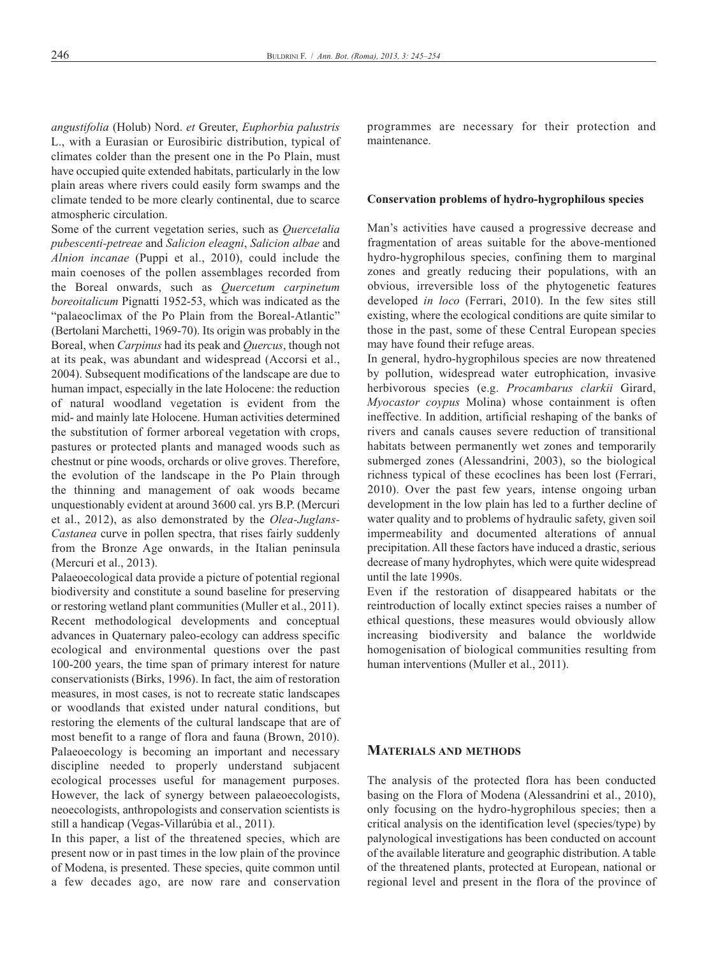*angustifolia* (holub) Nord. *et* greuter, *Euphorbia palustris* L., with a Eurasian or Eurosibiric distribution, typical of climates colder than the present one in the Po Plain, must have occupied quite extended habitats, particularly in the low plain areas where rivers could easily form swamps and the climate tended to be more clearly continental, due to scarce atmospheric circulation.

some of the current vegetation series, such as *Quercetalia pubescenti-petreae* and *Salicion eleagni*, *Salicion albae* and *Alnion incanae* (Puppi et al., 2010), could include the main coenoses of the pollen assemblages recorded from the Boreal onwards, such as *Quercetum carpinetum boreoitalicum* Pignatti 1952-53, which was indicated as the "palaeoclimax of the Po Plain from the Boreal-Atlantic" (Bertolani Marchetti, 1969-70). Its origin was probably in the Boreal, when *Carpinus* had its peak and *Quercus*, though not at its peak, was abundant and widespread (Accorsi et al., 2004). subsequent modifications of the landscape are due to human impact, especially in the late Holocene: the reduction of natural woodland vegetation is evident from the mid- and mainly late holocene. human activities determined the substitution of former arboreal vegetation with crops, pastures or protected plants and managed woods such as chestnut or pine woods, orchards or olive groves. Therefore, the evolution of the landscape in the Po Plain through the thinning and management of oak woods became unquestionably evident at around 3600 cal. yrs B.P. (Mercuri et al., 2012), as also demonstrated by the *Olea-Juglans-Castanea* curve in pollen spectra, that rises fairly suddenly from the Bronze Age onwards, in the Italian peninsula (Mercuri et al., 2013).

Palaeoecological data provide a picture of potential regional biodiversity and constitute a sound baseline for preserving or restoring wetland plant communities (Muller et al., 2011). Recent methodological developments and conceptual advances in Quaternary paleo-ecology can address specific ecological and environmental questions over the past 100-200 years, the time span of primary interest for nature conservationists (Birks, 1996). in fact, the aim of restoration measures, in most cases, is not to recreate static landscapes or woodlands that existed under natural conditions, but restoring the elements of the cultural landscape that are of most benefit to a range of flora and fauna (Brown, 2010). Palaeoecology is becoming an important and necessary discipline needed to properly understand subjacent ecological processes useful for management purposes. however, the lack of synergy between palaeoecologists, neoecologists, anthropologists and conservation scientists is still a handicap (vegas-villarúbia et al., 2011).

In this paper, a list of the threatened species, which are present now or in past times in the low plain of the province of Modena, is presented. these species, quite common until a few decades ago, are now rare and conservation programmes are necessary for their protection and maintenance.

#### **Conservation problems of hydro-hygrophilous species**

Man's activities have caused a progressive decrease and fragmentation of areas suitable for the above-mentioned hydro-hygrophilous species, confining them to marginal zones and greatly reducing their populations, with an obvious, irreversible loss of the phytogenetic features developed *in loco* (Ferrari, 2010). in the few sites still existing, where the ecological conditions are quite similar to those in the past, some of these Central European species may have found their refuge areas.

in general, hydro-hygrophilous species are now threatened by pollution, widespread water eutrophication, invasive herbivorous species (e.g. *Procambarus clarkii* Girard, *Myocastor coypus* Molina) whose containment is often ineffective. in addition, artificial reshaping of the banks of rivers and canals causes severe reduction of transitional habitats between permanently wet zones and temporarily submerged zones (Alessandrini, 2003), so the biological richness typical of these ecoclines has been lost (Ferrari, 2010). Over the past few years, intense ongoing urban development in the low plain has led to a further decline of water quality and to problems of hydraulic safety, given soil impermeability and documented alterations of annual precipitation. all these factors have induced a drastic, serious decrease of many hydrophytes, which were quite widespread until the late 1990s.

Even if the restoration of disappeared habitats or the reintroduction of locally extinct species raises a number of ethical questions, these measures would obviously allow increasing biodiversity and balance the worldwide homogenisation of biological communities resulting from human interventions (Muller et al., 2011).

#### **MATERIALS AND METHODS**

The analysis of the protected flora has been conducted basing on the Flora of Modena (Alessandrini et al., 2010), only focusing on the hydro-hygrophilous species; then a critical analysis on the identification level (species/type) by palynological investigations has been conducted on account of the available literature and geographic distribution. A table of the threatened plants, protected at European, national or regional level and present in the flora of the province of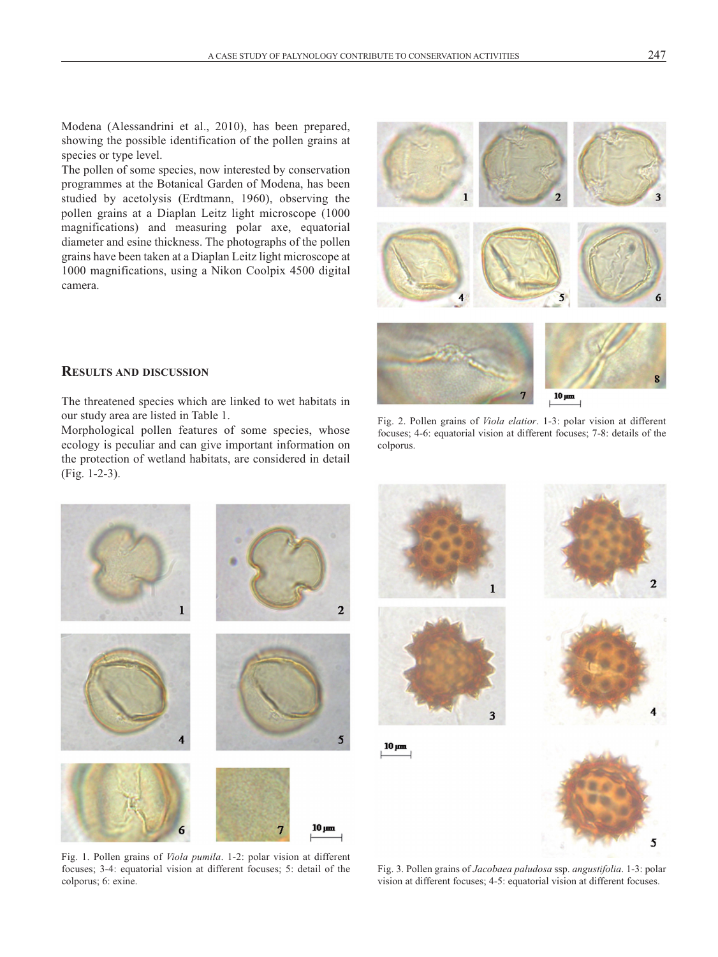Modena (Alessandrini et al., 2010), has been prepared, showing the possible identification of the pollen grains at species or type level.

The pollen of some species, now interested by conservation programmes at the Botanical garden of Modena, has been studied by acetolysis (Erdtmann, 1960), observing the pollen grains at a Diaplan Leitz light microscope (1000 magnifications) and measuring polar axe, equatorial diameter and esine thickness. The photographs of the pollen grains have been taken at a Diaplan Leitz light microscope at 1000 magnifications, using a Nikon coolpix 4500 digital camera.



## **RESULTS AND DISCUSSION**

The threatened species which are linked to wet habitats in our study area are listed in Table 1.

Morphological pollen features of some species, whose ecology is peculiar and can give important information on the protection of wetland habitats, are considered in detail (Fig. 1-2-3).

Fig. 2. Pollen grains of *Viola elatior*. 1-3: polar vision at different focuses; 4-6: equatorial vision at different focuses; 7-8: details of the colporus.



Fig. 1. Pollen grains of *Viola pumila*. 1-2: polar vision at different focuses; 3-4: equatorial vision at different focuses; 5: detail of the colporus; 6: exine.

Fig. 3. Pollen grains of *Jacobaea paludosa* ssp. *angustifolia*. 1-3: polar vision at different focuses; 4-5: equatorial vision at different focuses.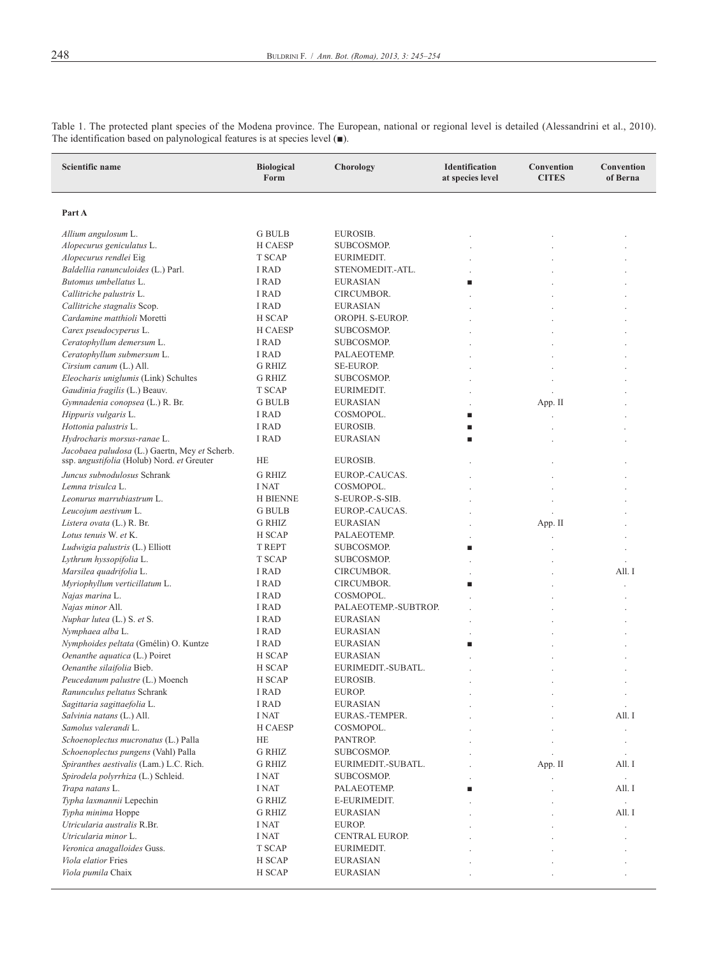| Scientific name                                                                | <b>Biological</b><br>Form | Chorology                        | Identification<br>at species level | Convention<br><b>CITES</b> | Convention<br>of Berna |
|--------------------------------------------------------------------------------|---------------------------|----------------------------------|------------------------------------|----------------------------|------------------------|
| Part A                                                                         |                           |                                  |                                    |                            |                        |
| Allium angulosum L.                                                            | <b>G BULB</b>             | EUROSIB.                         |                                    |                            |                        |
| Alopecurus geniculatus L.                                                      | H CAESP                   | SUBCOSMOP.                       |                                    |                            |                        |
| Alopecurus rendlei Eig                                                         | T SCAP                    | EURIMEDIT.                       |                                    |                            |                        |
| Baldellia ranunculoides (L.) Parl.                                             | I RAD                     | STENOMEDIT.-ATL.                 |                                    |                            |                        |
| Butomus umbellatus L.                                                          | <b>I RAD</b>              | <b>EURASIAN</b>                  | п                                  |                            |                        |
| Callitriche palustris L.                                                       | I RAD                     | CIRCUMBOR.                       |                                    |                            |                        |
| Callitriche stagnalis Scop.                                                    | I RAD                     | <b>EURASIAN</b>                  |                                    |                            |                        |
| Cardamine matthioli Moretti                                                    | H SCAP                    | OROPH. S-EUROP.                  |                                    |                            |                        |
| Carex pseudocyperus L.                                                         | H CAESP                   | SUBCOSMOP.                       |                                    |                            |                        |
| Ceratophyllum demersum L.                                                      | <b>I RAD</b>              | SUBCOSMOP.                       |                                    |                            |                        |
| Ceratophyllum submersum L.                                                     | <b>I RAD</b>              | PALAEOTEMP.                      |                                    |                            |                        |
| Cirsium canum (L.) All.                                                        | <b>G RHIZ</b>             | <b>SE-EUROP.</b>                 |                                    |                            |                        |
| Eleocharis uniglumis (Link) Schultes                                           | <b>G RHIZ</b>             | SUBCOSMOP.                       |                                    |                            |                        |
| Gaudinia fragilis (L.) Beauv.                                                  | T SCAP                    | EURIMEDIT.                       |                                    |                            |                        |
| Gymnadenia conopsea (L.) R. Br.                                                | <b>G BULB</b>             | <b>EURASIAN</b>                  |                                    | App. II                    |                        |
| Hippuris vulgaris L.                                                           | <b>I RAD</b>              | COSMOPOL.                        | п                                  |                            |                        |
| Hottonia palustris L.                                                          | I RAD                     | EUROSIB.                         | п                                  |                            |                        |
| Hydrocharis morsus-ranae L.<br>Jacobaea paludosa (L.) Gaertn, Mey et Scherb.   | I RAD                     | <b>EURASIAN</b>                  | п                                  |                            |                        |
| ssp. angustifolia (Holub) Nord. et Greuter                                     | HE                        | EUROSIB.                         |                                    |                            |                        |
| Juncus subnodulosus Schrank                                                    | <b>G RHIZ</b>             | EUROP.-CAUCAS.                   |                                    |                            |                        |
| Lemna trisulca L.                                                              | <b>I NAT</b>              | COSMOPOL.                        |                                    |                            |                        |
| Leonurus marrubiastrum L.                                                      | <b>H BIENNE</b>           | S-EUROP.-S-SIB.                  |                                    |                            |                        |
| Leucojum aestivum L.                                                           | <b>G</b> BULB             | EUROP.-CAUCAS.                   |                                    |                            |                        |
| Listera ovata (L.) R. Br.                                                      | <b>G RHIZ</b>             | <b>EURASIAN</b>                  |                                    | App. II                    |                        |
| Lotus tenuis W. et K.                                                          | H SCAP                    | PALAEOTEMP.                      |                                    |                            |                        |
| Ludwigia palustris (L.) Elliott                                                | T REPT                    | SUBCOSMOP.                       | п                                  |                            |                        |
| Lythrum hyssopifolia L.                                                        | T SCAP                    | SUBCOSMOP.                       |                                    |                            |                        |
| Marsilea quadrifolia L.                                                        | I RAD                     | CIRCUMBOR.                       |                                    |                            | All. I                 |
| Myriophyllum verticillatum L.                                                  | I RAD                     | CIRCUMBOR.                       | п                                  |                            |                        |
| Najas marina L.                                                                | I RAD                     | COSMOPOL.                        |                                    |                            |                        |
| Najas minor All.                                                               | I RAD                     | PALAEOTEMP.-SUBTROP.             |                                    |                            |                        |
| Nuphar lutea (L.) S. et S.                                                     | <b>I RAD</b>              | <b>EURASIAN</b>                  |                                    |                            |                        |
| Nymphaea alba L.                                                               | I RAD                     | <b>EURASIAN</b>                  |                                    |                            |                        |
| Nymphoides peltata (Gmélin) O. Kuntze                                          | I RAD                     | <b>EURASIAN</b>                  | п                                  |                            |                        |
| Oenanthe aquatica (L.) Poiret                                                  | H SCAP                    | <b>EURASIAN</b>                  |                                    |                            |                        |
| Oenanthe silaifolia Bieb.                                                      | H SCAP                    | EURIMEDIT.-SUBATL.               |                                    |                            |                        |
| Peucedanum palustre (L.) Moench                                                | H SCAP                    | EUROSIB.                         |                                    |                            |                        |
| Ranunculus peltatus Schrank                                                    | I RAD                     | EUROP.                           |                                    |                            | $\lambda$              |
| Sagittaria sagittaefolia L.                                                    | I RAD                     | EURASIAN                         |                                    |                            | $\ddot{\phantom{0}}$   |
| Salvinia natans (L.) All.<br>Samolus valerandi L.                              | I NAT                     | EURAS.-TEMPER.                   |                                    |                            | All. I                 |
|                                                                                | H CAESP                   | COSMOPOL.                        |                                    |                            | ł.                     |
| Schoenoplectus mucronatus (L.) Palla                                           | HE<br><b>G RHIZ</b>       | PANTROP.                         |                                    |                            | $\cdot$                |
| Schoenoplectus pungens (Vahl) Palla<br>Spiranthes aestivalis (Lam.) L.C. Rich. | G RHIZ                    | SUBCOSMOP.<br>EURIMEDIT.-SUBATL. |                                    | App. II                    | $\cdot$<br>All. I      |
| Spirodela polyrrhiza (L.) Schleid.                                             | I NAT                     | SUBCOSMOP.                       |                                    |                            | $\Box$                 |
| Trapa natans L.                                                                | I NAT                     | PALAEOTEMP.                      | п                                  |                            | All. I                 |
| Typha laxmannii Lepechin                                                       | G RHIZ                    | E-EURIMEDIT.                     |                                    |                            | $\Box$                 |
| Typha minima Hoppe                                                             | <b>G RHIZ</b>             | <b>EURASIAN</b>                  |                                    |                            | All. I                 |
| Utricularia australis R.Br.                                                    | I NAT                     | EUROP.                           |                                    |                            |                        |
| Utricularia minor L.                                                           | I NAT                     | CENTRAL EUROP.                   |                                    |                            |                        |
| Veronica anagalloides Guss.                                                    | T SCAP                    | EURIMEDIT.                       |                                    |                            |                        |
| Viola elatior Fries                                                            | H SCAP                    | <b>EURASIAN</b>                  |                                    |                            |                        |
| Viola pumila Chaix                                                             | H SCAP                    | <b>EURASIAN</b>                  |                                    |                            |                        |

Table 1. The protected plant species of the Modena province. The European, national or regional level is detailed (Alessandrini et al., 2010). The identification based on palynological features is at species level  $($ ■).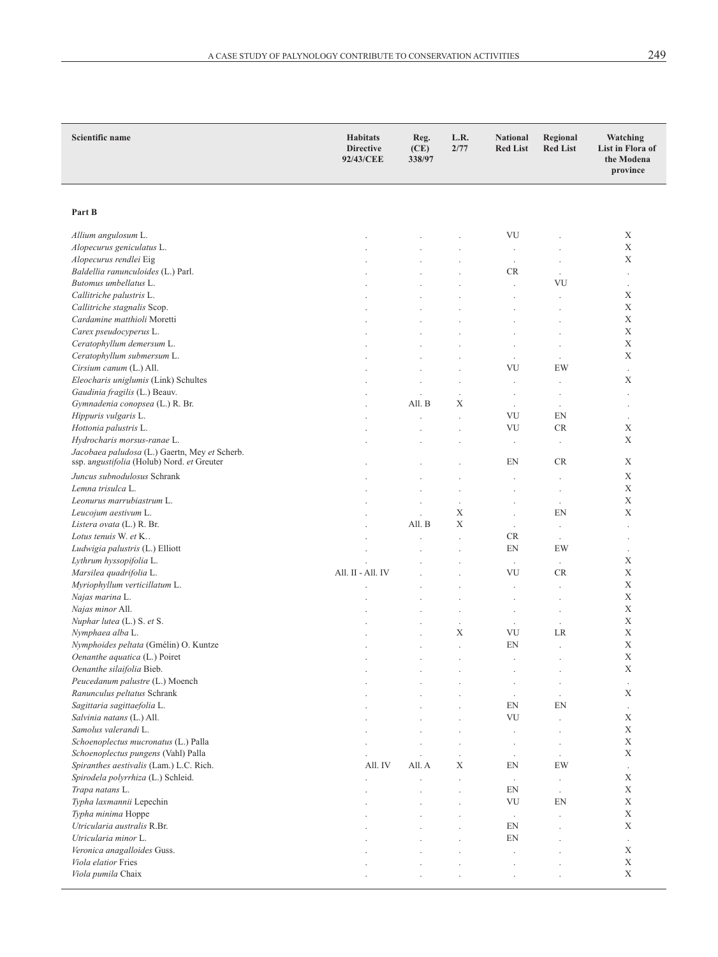| Scientific name                                                                             | <b>Habitats</b><br><b>Directive</b><br>92/43/CEE | Reg.<br>(CE)<br>338/97 | L.R.<br>2/77                    | <b>National</b><br><b>Red List</b> | Regional<br><b>Red List</b> | Watching<br>List in Flora of<br>the Modena<br>province |
|---------------------------------------------------------------------------------------------|--------------------------------------------------|------------------------|---------------------------------|------------------------------------|-----------------------------|--------------------------------------------------------|
|                                                                                             |                                                  |                        |                                 |                                    |                             |                                                        |
|                                                                                             |                                                  |                        |                                 |                                    |                             |                                                        |
| Part B                                                                                      |                                                  |                        |                                 |                                    |                             |                                                        |
| Allium angulosum L.                                                                         |                                                  |                        |                                 | VU                                 |                             | X                                                      |
| Alopecurus geniculatus L.                                                                   |                                                  |                        |                                 | $\cdot$                            | $\ddot{\phantom{0}}$        | Χ                                                      |
| Alopecurus rendlei Eig                                                                      |                                                  |                        |                                 | $\ddot{\phantom{a}}$               |                             | X                                                      |
| Baldellia ranunculoides (L.) Parl.                                                          |                                                  |                        |                                 | CR                                 | $\cdot$                     | $\overline{\phantom{a}}$                               |
| Butomus umbellatus L.                                                                       |                                                  |                        |                                 | $\ddot{\phantom{a}}$               | VU                          | $\cdot$                                                |
| Callitriche palustris L.                                                                    |                                                  |                        |                                 |                                    |                             | X                                                      |
| Callitriche stagnalis Scop.                                                                 |                                                  |                        |                                 |                                    | $\ddot{\phantom{a}}$        | X                                                      |
| Cardamine matthioli Moretti                                                                 |                                                  |                        |                                 | ł.                                 | J.                          | X                                                      |
| Carex pseudocyperus L.                                                                      |                                                  |                        |                                 |                                    |                             | $\mathbf X$                                            |
| Ceratophyllum demersum L.                                                                   |                                                  |                        |                                 |                                    | $\ddot{\phantom{a}}$        | $\mathbf X$<br>X                                       |
| Ceratophyllum submersum L.<br>Cirsium canum (L.) All.                                       |                                                  |                        |                                 | $\ddot{\phantom{0}}$<br>VU         | $\cdot$<br>EW               |                                                        |
| Eleocharis uniglumis (Link) Schultes                                                        |                                                  |                        |                                 |                                    |                             | $\overline{\phantom{a}}$<br>X                          |
| Gaudinia fragilis (L.) Beauv.                                                               |                                                  |                        | $\ddot{\phantom{a}}$<br>$\cdot$ | $\ddot{\phantom{0}}$               | $\cdot$                     | $\blacksquare$                                         |
| Gymnadenia conopsea (L.) R. Br.                                                             |                                                  | All. B                 | X                               | $\ddot{\phantom{a}}$               |                             | $\ddot{\phantom{0}}$                                   |
| Hippuris vulgaris L.                                                                        |                                                  |                        | $\blacksquare$                  | VU                                 | EN                          | $\cdot$                                                |
| Hottonia palustris L.                                                                       |                                                  |                        | $\ddot{\phantom{0}}$            | VU                                 | <b>CR</b>                   | Χ                                                      |
| Hydrocharis morsus-ranae L.                                                                 |                                                  |                        |                                 | $\ddot{\phantom{0}}$               |                             | X                                                      |
| Jacobaea paludosa (L.) Gaertn, Mey et Scherb.<br>ssp. angustifolia (Holub) Nord. et Greuter |                                                  |                        |                                 | EN                                 | <b>CR</b>                   | Χ                                                      |
|                                                                                             |                                                  |                        |                                 |                                    |                             |                                                        |
| Juncus subnodulosus Schrank<br>Lemna trisulca L.                                            |                                                  |                        |                                 |                                    |                             | X<br>X                                                 |
| Leonurus marrubiastrum L.                                                                   |                                                  |                        | $\ddot{\phantom{a}}$            |                                    | $\cdot$                     | Χ                                                      |
| Leucojum aestivum L.                                                                        |                                                  |                        | $\cdot$<br>X                    | $\ddot{\phantom{0}}$               | $\cdot$<br>EN               | X                                                      |
| Listera ovata (L.) R. Br.                                                                   |                                                  | All. B                 | X                               | $\ddot{\phantom{0}}$               | $\cdot$                     | $\cdot$                                                |
| Lotus tenuis W. et K                                                                        |                                                  |                        | $\ddot{\phantom{a}}$            | <b>CR</b>                          | $\cdot$                     | $\blacksquare$                                         |
| Ludwigia palustris (L.) Elliott                                                             |                                                  |                        |                                 | EN                                 | EW                          | $\cdot$                                                |
| Lythrum hyssopifolia L.                                                                     |                                                  |                        |                                 | $\epsilon$                         | $\cdot$                     | X                                                      |
| Marsilea quadrifolia L.                                                                     | All. II - All. IV                                |                        |                                 | VU                                 | <b>CR</b>                   | X                                                      |
| Myriophyllum verticillatum L.                                                               |                                                  |                        |                                 |                                    |                             | $\mathbf X$                                            |
| Najas marina L.                                                                             |                                                  |                        |                                 |                                    | $\ddot{\phantom{0}}$        | $\mathbf X$                                            |
| Najas minor All.                                                                            |                                                  |                        | $\ddot{\phantom{a}}$            | $\blacksquare$                     | $\cdot$                     | X                                                      |
| Nuphar lutea (L.) S. et S.                                                                  |                                                  |                        | $\blacksquare$                  | $\ddot{\phantom{a}}$               |                             | X                                                      |
| Nymphaea alba L.                                                                            |                                                  |                        | X                               | VU                                 | LR                          | $\mathbf X$                                            |
| Nymphoides peltata (Gmélin) O. Kuntze                                                       |                                                  |                        | $\cdot$                         | EN                                 | $\ddot{\phantom{a}}$        | X                                                      |
| Oenanthe aquatica (L.) Poiret                                                               |                                                  |                        | $\cdot$                         |                                    | $\ddot{\phantom{0}}$        | X                                                      |
| Oenanthe silaifolia Bieb.                                                                   |                                                  |                        |                                 |                                    | $\cdot$                     | X                                                      |
| Peucedanum palustre (L.) Moench                                                             |                                                  |                        |                                 |                                    | $\cdot$                     | $\cdot$<br>X                                           |
| Ranunculus peltatus Schrank<br>Sagittaria sagittaefolia L.                                  |                                                  |                        |                                 | $\overline{\phantom{a}}$<br>EN     | EN                          |                                                        |
| Salvinia natans (L.) All.                                                                   |                                                  |                        |                                 | VU                                 |                             | $\cdot$<br>X                                           |
| Samolus valerandi L.                                                                        |                                                  |                        | $\lambda$                       |                                    | $\ddot{\phantom{0}}$        | $\mathbf X$                                            |
| Schoenoplectus mucronatus (L.) Palla                                                        |                                                  |                        |                                 | $\cdot$                            | $\cdot$                     | $\mathbf X$                                            |
| Schoenoplectus pungens (Vahl) Palla                                                         | ł.                                               |                        | $\cdot$                         | $\cdot$                            | $\cdot$                     | X                                                      |
| Spiranthes aestivalis (Lam.) L.C. Rich.                                                     | All. IV                                          | All. A                 | X                               | EN                                 | EW                          | $\ddot{\phantom{a}}$                                   |
| Spirodela polyrrhiza (L.) Schleid.                                                          |                                                  |                        | $\blacksquare$                  | $\epsilon$                         | $\cdot$                     | X                                                      |
| Trapa natans L.                                                                             |                                                  |                        | $\cdot$                         | EN                                 | $\cdot$                     | X                                                      |
| Typha laxmannii Lepechin                                                                    |                                                  |                        |                                 | VU                                 | EN                          | $\mathbf X$                                            |
| Typha minima Hoppe                                                                          |                                                  |                        |                                 | $\cdot$                            | $\ddot{\phantom{0}}$        | $\mathbf X$                                            |
| Utricularia australis R.Br.                                                                 |                                                  |                        |                                 | EN                                 |                             | X                                                      |
| Utricularia minor L.                                                                        |                                                  |                        |                                 | EN                                 |                             | $\cdot$                                                |
| Veronica anagalloides Guss.                                                                 |                                                  |                        |                                 |                                    |                             | X                                                      |
| Viola elatior Fries                                                                         |                                                  |                        | $\lambda$                       | ł.                                 |                             | $\mathbf X$                                            |
| Viola pumila Chaix                                                                          |                                                  |                        |                                 |                                    |                             | $\mathbf X$                                            |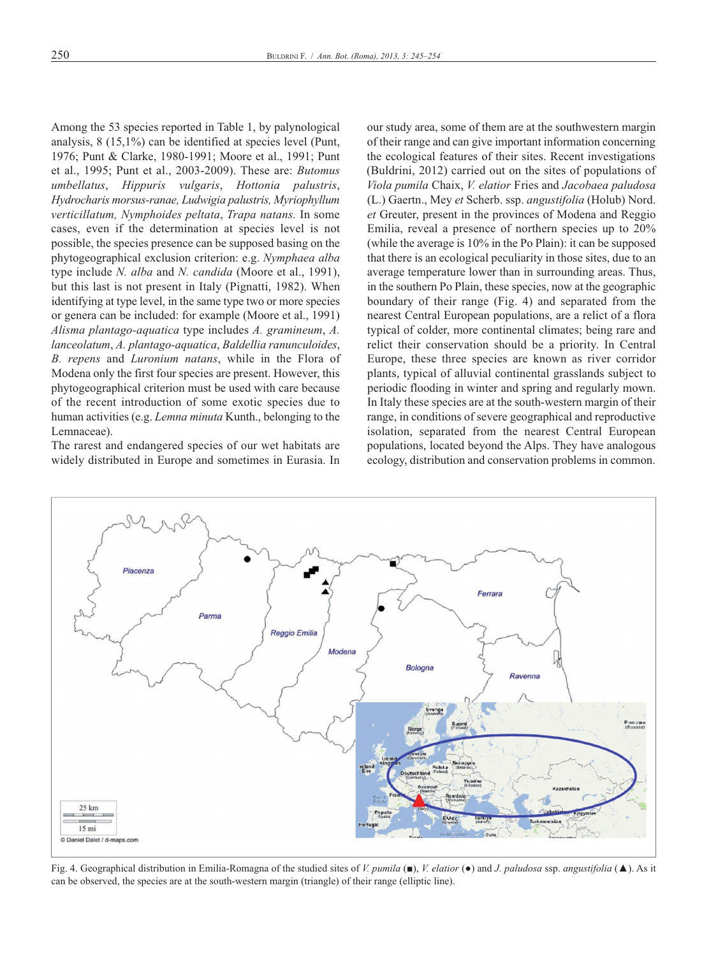Among the 53 species reported in Table 1, by palynological analysis, 8 (15,1%) can be identified at species level (Punt, 1976; Punt & clarke, 1980-1991; Moore et al., 1991; Punt et al., 1995; Punt et al., 2003-2009). these are: *Butomus umbellatus*, *Hippuris vulgaris*, *Hottonia palustris*, *Hydrocharis morsus-ranae, Ludwigia palustris, Myriophyllum verticillatum, Nymphoides peltata*, *Trapa natans.* in some cases, even if the determination at species level is not possible, the species presence can be supposed basing on the phytogeographical exclusion criterion: e.g. *Nymphaea alba* type include *N. alba* and *N. candida* (Moore et al., 1991), but this last is not present in italy (Pignatti, 1982). when identifying at type level, in the same type two or more species or genera can be included: for example (Moore et al., 1991) *Alisma plantago-aquatica* type includes *A. gramineum*, *A. lanceolatum*, *A. plantago-aquatica*, *Baldellia ranunculoides*, *B. repens* and *Luronium natans*, while in the Flora of Modena only the first four species are present. However, this phytogeographical criterion must be used with care because of the recent introduction of some exotic species due to human activities (e.g. *Lemna minuta* Kunth., belonging to the Lemnaceae).

The rarest and endangered species of our wet habitats are widely distributed in Europe and sometimes in Eurasia. In our study area, some of them are at the southwestern margin of their range and can give important information concerning the ecological features of their sites. Recent investigations (Buldrini, 2012) carried out on the sites of populations of *Viola pumila* chaix, *V. elatior* Fries and *Jacobaea paludosa* (l.) gaertn., Mey *et* scherb. ssp. *angustifolia* (holub) Nord. *et* Greuter, present in the provinces of Modena and Reggio Emilia, reveal a presence of northern species up to  $20\%$ (while the average is 10% in the Po Plain): it can be supposed that there is an ecological peculiarity in those sites, due to an average temperature lower than in surrounding areas. Thus, in the southern Po Plain, these species, now at the geographic boundary of their range (Fig. 4) and separated from the nearest Central European populations, are a relict of a flora typical of colder, more continental climates; being rare and relict their conservation should be a priority. in central Europe, these three species are known as river corridor plants, typical of alluvial continental grasslands subject to periodic flooding in winter and spring and regularly mown. In Italy these species are at the south-western margin of their range, in conditions of severe geographical and reproductive isolation, separated from the nearest Central European populations, located beyond the Alps. They have analogous ecology, distribution and conservation problems in common.



Fig. 4. geographical distribution in emilia-romagna of the studied sites of *V. pumila* (■), *V. elatior* (●) and *J. paludosa* ssp. *angustifolia* (▲). as it can be observed, the species are at the south-western margin (triangle) of their range (elliptic line).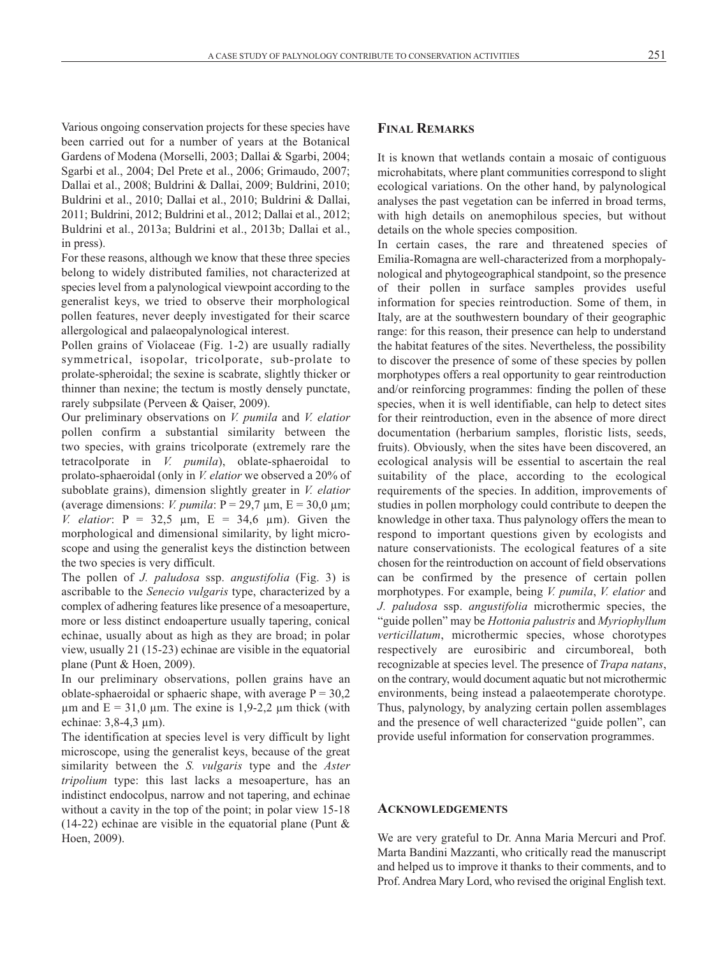various ongoing conservation projects for these species have been carried out for a number of years at the Botanical Gardens of Modena (Morselli, 2003; Dallai & Sgarbi, 2004; Sgarbi et al., 2004; Del Prete et al., 2006; Grimaudo, 2007; Dallai et al., 2008; Buldrini & Dallai, 2009; Buldrini, 2010; Buldrini et al., 2010; Dallai et al., 2010; Buldrini & Dallai, 2011; Buldrini, 2012; Buldrini et al., 2012; Dallai et al., 2012; Buldrini et al., 2013a; Buldrini et al., 2013b; Dallai et al., in press).

For these reasons, although we know that these three species belong to widely distributed families, not characterized at species level from a palynological viewpoint according to the generalist keys, we tried to observe their morphological pollen features, never deeply investigated for their scarce allergological and palaeopalynological interest.

Pollen grains of violaceae (Fig. 1-2) are usually radially symmetrical, isopolar, tricolporate, sub-prolate to prolate-spheroidal; the sexine is scabrate, slightly thicker or thinner than nexine; the tectum is mostly densely punctate, rarely subpsilate (Perveen & Qaiser, 2009).

our preliminary observations on *V. pumila* and *V. elatior* pollen confirm a substantial similarity between the two species, with grains tricolporate (extremely rare the tetracolporate in *V. pumila*), oblate-sphaeroidal to prolato-sphaeroidal (only in *V. elatior* we observed a 20% of suboblate grains), dimension slightly greater in *V. elatior* (average dimensions: *V. pumila*:  $P = 29.7 \mu m$ ,  $E = 30.0 \mu m$ ; *V. elatior*:  $P = 32.5 \text{ µm}$ ,  $E = 34.6 \text{ µm}$ . Given the morphological and dimensional similarity, by light microscope and using the generalist keys the distinction between the two species is very difficult.

the pollen of *J. paludosa* ssp. *angustifolia* (Fig. 3) is ascribable to the *Senecio vulgaris* type, characterized by a complex of adhering features like presence of a mesoaperture, more or less distinct endoaperture usually tapering, conical echinae, usually about as high as they are broad; in polar view, usually 21 (15-23) echinae are visible in the equatorial plane (Punt & Hoen, 2009).

In our preliminary observations, pollen grains have an oblate-sphaeroidal or sphaeric shape, with average  $P = 30,2$  $\mu$ m and E = 31,0  $\mu$ m. The exine is 1,9-2,2  $\mu$ m thick (with echinae: 3,8-4,3 µm).

The identification at species level is very difficult by light microscope, using the generalist keys, because of the great similarity between the *S. vulgaris* type and the *Aster tripolium* type: this last lacks a mesoaperture, has an indistinct endocolpus, narrow and not tapering, and echinae without a cavity in the top of the point; in polar view 15-18 (14-22) echinae are visible in the equatorial plane (Punt  $\&$ Hoen, 2009).

## **FINAL REMARKS**

It is known that wetlands contain a mosaic of contiguous microhabitats, where plant communities correspond to slight ecological variations. on the other hand, by palynological analyses the past vegetation can be inferred in broad terms, with high details on anemophilous species, but without details on the whole species composition.

In certain cases, the rare and threatened species of Emilia-Romagna are well-characterized from a morphopalynological and phytogeographical standpoint, so the presence of their pollen in surface samples provides useful information for species reintroduction. some of them, in italy, are at the southwestern boundary of their geographic range: for this reason, their presence can help to understand the habitat features of the sites. Nevertheless, the possibility to discover the presence of some of these species by pollen morphotypes offers a real opportunity to gear reintroduction and/or reinforcing programmes: finding the pollen of these species, when it is well identifiable, can help to detect sites for their reintroduction, even in the absence of more direct documentation (herbarium samples, floristic lists, seeds, fruits). obviously, when the sites have been discovered, an ecological analysis will be essential to ascertain the real suitability of the place, according to the ecological requirements of the species. in addition, improvements of studies in pollen morphology could contribute to deepen the knowledge in other taxa. Thus palynology offers the mean to respond to important questions given by ecologists and nature conservationists. The ecological features of a site chosen for the reintroduction on account of field observations can be confirmed by the presence of certain pollen morphotypes. For example, being *V. pumila*, *V. elatior* and *J. paludosa* ssp. *angustifolia* microthermic species, the "guide pollen" may be *Hottonia palustris* and *Myriophyllum verticillatum*, microthermic species, whose chorotypes respectively are eurosibiric and circumboreal, both recognizable at species level. the presence of *Trapa natans*, on the contrary, would document aquatic but not microthermic environments, being instead a palaeotemperate chorotype. Thus, palynology, by analyzing certain pollen assemblages and the presence of well characterized "guide pollen", can provide useful information for conservation programmes.

#### **ACKNOWLEDGEMENTS**

We are very grateful to Dr. Anna Maria Mercuri and Prof. Marta Bandini Mazzanti, who critically read the manuscript and helped us to improve it thanks to their comments, and to Prof. Andrea Mary Lord, who revised the original English text.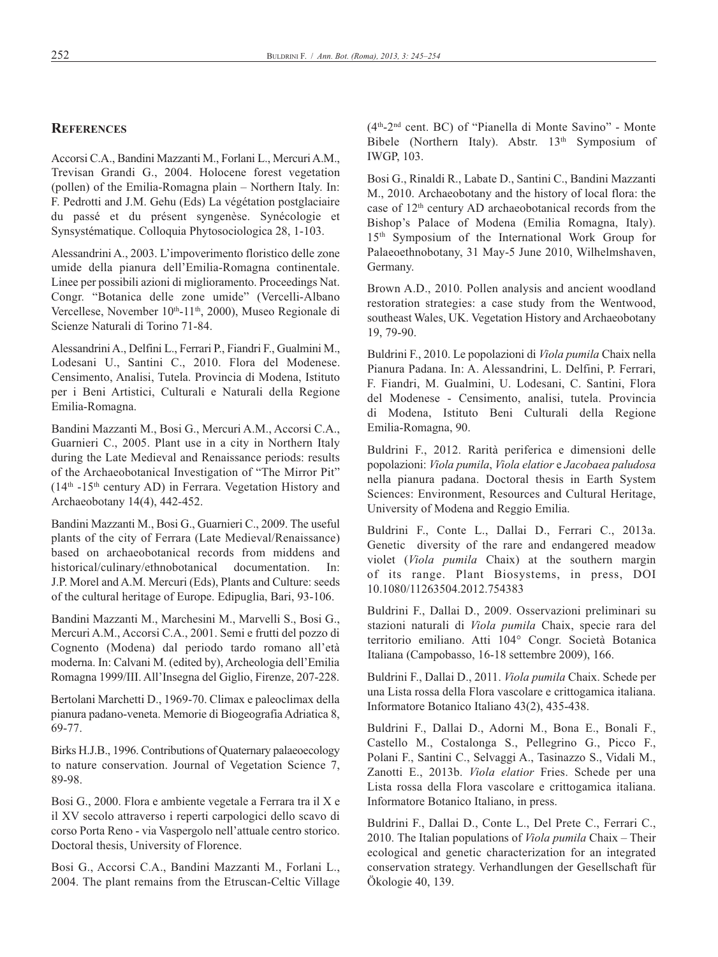#### **REFERENCES**

accorsi c.a., Bandini Mazzanti M., Forlani l., Mercuri a.M., Trevisan Grandi G., 2004. Holocene forest vegetation (pollen) of the Emilia-Romagna plain – Northern Italy. In: F. Pedrotti and J.M. Gehu (Eds) La végétation postglaciaire du passé et du présent syngenèse. synécologie et synsystématique. colloquia Phytosociologica 28, 1-103.

Alessandrini A., 2003. L'impoverimento floristico delle zone umide della pianura dell'Emilia-Romagna continentale. Linee per possibili azioni di miglioramento. Proceedings Nat. congr. "Botanica delle zone umide" (vercelli-albano Vercellese, November 10<sup>th</sup>-11<sup>th</sup>, 2000), Museo Regionale di Scienze Naturali di Torino 71-84.

Alessandrini A., Delfini L., Ferrari P., Fiandri F., Gualmini M., Lodesani U., Santini C., 2010. Flora del Modenese. censimento, analisi, tutela. Provincia di Modena, istituto per i Beni Artistici, Culturali e Naturali della Regione Emilia-Romagna.

Bandini Mazzanti M., Bosi G., Mercuri A.M., Accorsi C.A., Guarnieri C., 2005. Plant use in a city in Northern Italy during the Late Medieval and Renaissance periods: results of the Archaeobotanical Investigation of "The Mirror Pit"  $(14<sup>th</sup> -15<sup>th</sup>$  century AD) in Ferrara. Vegetation History and archaeobotany 14(4), 442-452.

Bandini Mazzanti M., Bosi G., Guarnieri C., 2009. The useful plants of the city of Ferrara (Late Medieval/Renaissance) based on archaeobotanical records from middens and historical/culinary/ethnobotanical documentation. In: J.P. Morel and A.M. Mercuri (Eds), Plants and Culture: seeds of the cultural heritage of Europe. Edipuglia, Bari, 93-106.

Bandini Mazzanti M., Marchesini M., Marvelli s., Bosi g., Mercuri A.M., Accorsi C.A., 2001. Semi e frutti del pozzo di cognento (Modena) dal periodo tardo romano all'età moderna. In: Calvani M. (edited by), Archeologia dell'Emilia Romagna 1999/III. All'Insegna del Giglio, Firenze, 207-228.

Bertolani Marchetti D., 1969-70. Climax e paleoclimax della pianura padano-veneta. Memorie di Biogeografia Adriatica 8, 69-77.

Birks h.J.B., 1996. contributions of Quaternary palaeoecology to nature conservation. Journal of vegetation science 7, 89-98.

Bosi G., 2000. Flora e ambiente vegetale a Ferrara tra il X e il Xv secolo attraverso i reperti carpologici dello scavo di corso Porta Reno - via Vaspergolo nell'attuale centro storico. Doctoral thesis, University of Florence.

Bosi G., Accorsi C.A., Bandini Mazzanti M., Forlani L., 2004. The plant remains from the Etruscan-Celtic Village (4th-2nd cent. Bc) of "Pianella di Monte savino" - Monte Bibele (Northern Italy). Abstr. 13<sup>th</sup> Symposium of iwgP, 103.

Bosi G., Rinaldi R., Labate D., Santini C., Bandini Mazzanti M., 2010. archaeobotany and the history of local flora: the case of  $12<sup>th</sup>$  century AD archaeobotanical records from the Bishop's Palace of Modena (Emilia Romagna, Italy). 15<sup>th</sup> Symposium of the International Work Group for Palaeoethnobotany, 31 May-5 June 2010, wilhelmshaven, Germany.

Brown A.D., 2010. Pollen analysis and ancient woodland restoration strategies: a case study from the wentwood, southeast Wales, UK. Vegetation History and Archaeobotany 19, 79-90.

Buldrini F., 2010. le popolazioni di *Viola pumila* chaix nella Pianura Padana. In: A. Alessandrini, L. Delfini, P. Ferrari, F. Fiandri, M. gualmini, u. lodesani, c. santini, Flora del Modenese - censimento, analisi, tutela. Provincia di Modena, istituto Beni culturali della regione Emilia-Romagna, 90.

Buldrini F., 2012. Rarità periferica e dimensioni delle popolazioni: *Viola pumila*, *Viola elatior* e *Jacobaea paludosa* nella pianura padana. Doctoral thesis in Earth System Sciences: Environment, Resources and Cultural Heritage, University of Modena and Reggio Emilia.

Buldrini F., Conte L., Dallai D., Ferrari C., 2013a. Genetic diversity of the rare and endangered meadow violet (*Viola pumila* chaix) at the southern margin of its range. Plant Biosystems, in press, DOI 10.1080/11263504.2012.754383

Buldrini F., Dallai D., 2009. Osservazioni preliminari su stazioni naturali di *Viola pumila* chaix, specie rara del territorio emiliano. atti 104° congr. società Botanica Italiana (Campobasso, 16-18 settembre 2009), 166.

Buldrini F., Dallai D., 2011. *Viola pumila* Chaix. Schede per una lista rossa della Flora vascolare e crittogamica italiana. informatore Botanico italiano 43(2), 435-438.

Buldrini F., Dallai D., Adorni M., Bona E., Bonali F., castello M., costalonga s., Pellegrino g., Picco F., Polani F., Santini C., Selvaggi A., Tasinazzo S., Vidali M., Zanotti E., 2013b. *Viola elatior* Fries. Schede per una Lista rossa della Flora vascolare e crittogamica italiana. Informatore Botanico Italiano, in press.

Buldrini F., Dallai D., Conte L., Del Prete C., Ferrari C., 2010. The Italian populations of *Viola pumila* Chaix – Their ecological and genetic characterization for an integrated conservation strategy. verhandlungen der gesellschaft für Ökologie 40, 139.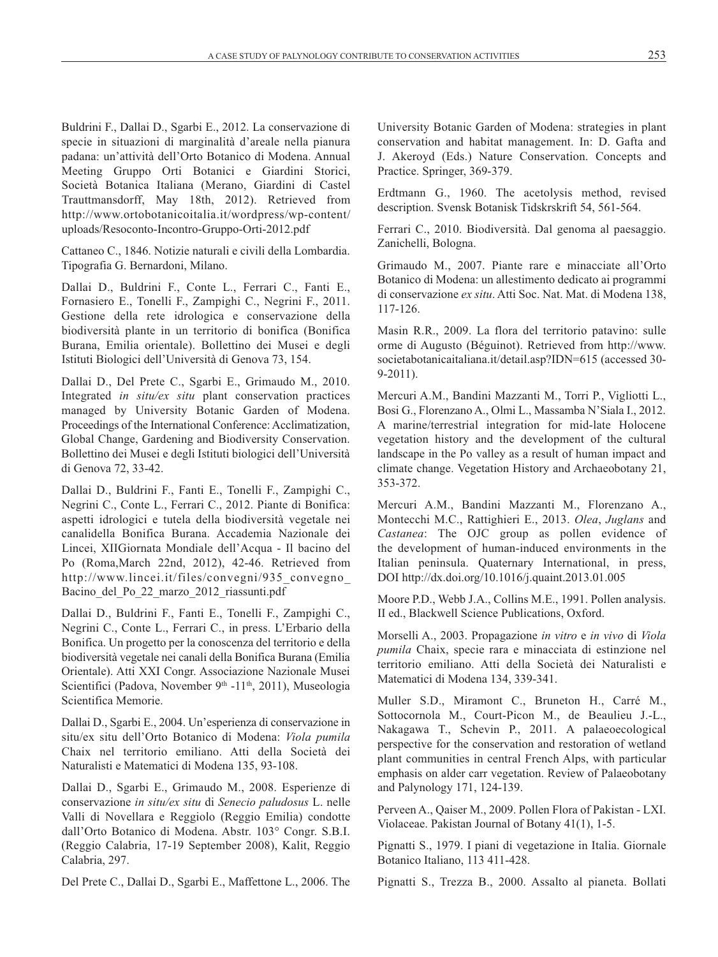Buldrini F., Dallai D., Sgarbi E., 2012. La conservazione di specie in situazioni di marginalità d'areale nella pianura padana: un'attività dell'Orto Botanico di Modena. Annual Meeting Gruppo Orti Botanici e Giardini Storici, società Botanica italiana (Merano, giardini di castel Trauttmansdorff, May 18th, 2012). Retrieved from http://www.ortobotanicoitalia.it/wordpress/wp-content/ uploads/Resoconto-Incontro-Gruppo-Orti-2012.pdf

cattaneo c., 1846. Notizie naturali e civili della lombardia. Tipografia G. Bernardoni, Milano.

Dallai D., Buldrini F., Conte L., Ferrari C., Fanti E., Fornasiero E., Tonelli F., Zampighi C., Negrini F., 2011. Gestione della rete idrologica e conservazione della biodiversità plante in un territorio di bonifica (Bonifica Burana, emilia orientale). Bollettino dei Musei e degli Istituti Biologici dell'Università di Genova 73, 154.

Dallai D., Del Prete C., Sgarbi E., Grimaudo M., 2010. Integrated *in situ/ex situ* plant conservation practices managed by University Botanic Garden of Modena. Proceedings of the International Conference: Acclimatization, Global Change, Gardening and Biodiversity Conservation. Bollettino dei Musei e degli Istituti biologici dell'Università di genova 72, 33-42.

Dallai D., Buldrini F., Fanti E., Tonelli F., Zampighi C., Negrini c., conte l., Ferrari c., 2012. Piante di Bonifica: aspetti idrologici e tutela della biodiversità vegetale nei canalidella Bonifica Burana. Accademia Nazionale dei Lincei, XIIGiornata Mondiale dell'Acqua - Il bacino del Po (Roma, March 22nd, 2012), 42-46. Retrieved from http://www.lincei.it/files/convegni/935\_convegno\_ Bacino\_del\_Po\_22\_marzo\_2012\_riassunti.pdf

Dallai D., Buldrini F., Fanti E., Tonelli F., Zampighi C., Negrini C., Conte L., Ferrari C., in press. L'Erbario della Bonifica. Un progetto per la conoscenza del territorio e della biodiversità vegetale nei canali della Bonifica Burana (Emilia Orientale). Atti XXI Congr. Associazione Nazionale Musei Scientifici (Padova, November 9<sup>th</sup> -11<sup>th</sup>, 2011), Museologia scientifica Memorie.

Dallai D., Sgarbi E., 2004. Un'esperienza di conservazione in situ/ex situ dell'orto Botanico di Modena: *Viola pumila* chaix nel territorio emiliano. atti della società dei Naturalisti e Matematici di Modena 135, 93-108.

Dallai D., Sgarbi E., Grimaudo M., 2008. Esperienze di conservazione *in situ/ex situ* di *Senecio paludosus* l. nelle Valli di Novellara e Reggiolo (Reggio Emilia) condotte dall'orto Botanico di Modena. abstr. 103° congr. s.B.i. (Reggio Calabria, 17-19 September 2008), Kalit, Reggio calabria, 297.

Del Prete C., Dallai D., Sgarbi E., Maffettone L., 2006. The

University Botanic Garden of Modena: strategies in plant conservation and habitat management. In: D. Gafta and J. Akeroyd (Eds.) Nature Conservation. Concepts and Practice. springer, 369-379.

Erdtmann G., 1960. The acetolysis method, revised description. Svensk Botanisk Tidskrskrift 54, 561-564.

Ferrari C., 2010. Biodiversità. Dal genoma al paesaggio. Zanichelli, Bologna.

Grimaudo M., 2007. Piante rare e minacciate all'Orto Botanico di Modena: un allestimento dedicato ai programmi di conservazione *ex situ*. Atti Soc. Nat. Mat. di Modena 138, 117-126.

Masin R.R., 2009. La flora del territorio patavino: sulle orme di Augusto (Béguinot). Retrieved from http://www. societabotanicaitaliana.it/detail.asp?IDN=615 (accessed 30-9-2011).

Mercuri A.M., Bandini Mazzanti M., Torri P., Vigliotti L., Bosi G., Florenzano A., Olmi L., Massamba N'Siala I., 2012. A marine/terrestrial integration for mid-late Holocene vegetation history and the development of the cultural landscape in the Po valley as a result of human impact and climate change. Vegetation History and Archaeobotany 21, 353-372.

Mercuri a.M., Bandini Mazzanti M., Florenzano a., Montecchi M.C., Rattighieri E., 2013. Olea, Juglans and Castanea: The OJC group as pollen evidence of the development of human-induced environments in the Italian peninsula. Quaternary International, in press, DOI http://dx.doi.org/10.1016/j.quaint.2013.01.005

Moore P.D., Webb J.A., Collins M.E., 1991. Pollen analysis. II ed., Blackwell Science Publications, Oxford.

Morselli a., 2003. Propagazione *in vitro* e *in vivo* di *Viola pumila* chaix, specie rara e minacciata di estinzione nel territorio emiliano. atti della società dei Naturalisti e Matematici di Modena 134, 339-341.

Muller S.D., Miramont C., Bruneton H., Carré M., sottocornola M., court-Picon M., de Beaulieu J.-l., Nakagawa t., schevin P., 2011. a palaeoecological perspective for the conservation and restoration of wetland plant communities in central French alps, with particular emphasis on alder carr vegetation. Review of Palaeobotany and Palynology 171, 124-139.

Perveen A., Qaiser M., 2009. Pollen Flora of Pakistan - LXI. violaceae. Pakistan Journal of Botany 41(1), 1-5.

Pignatti S., 1979. I piani di vegetazione in Italia. Giornale Botanico Italiano, 113 411-428.

Pignatti S., Trezza B., 2000. Assalto al pianeta. Bollati